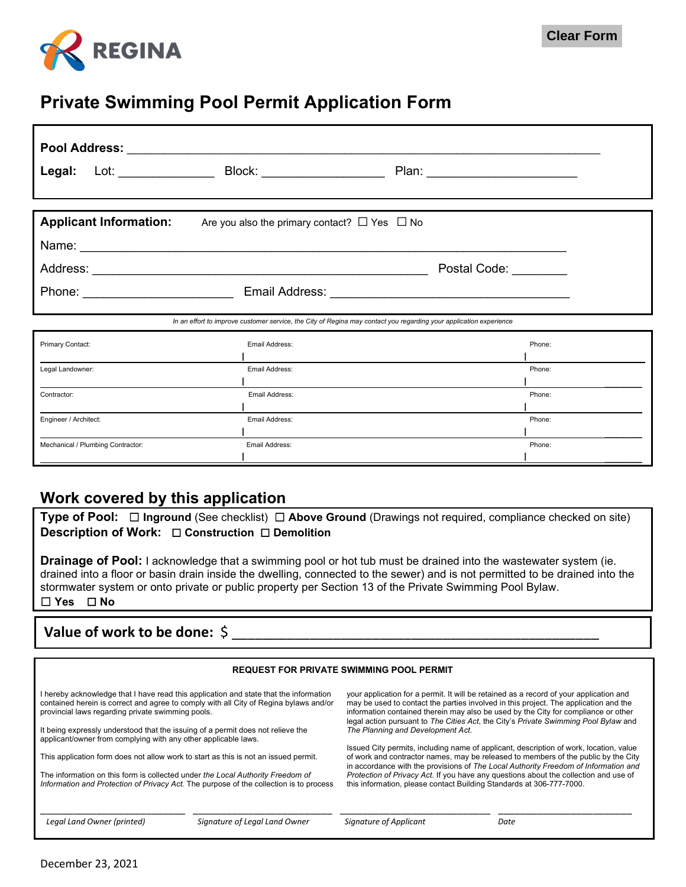

### **Private Swimming Pool Permit Application Form**

| Legal:                                                                                                                                                                                                                               |                |                       |  |
|--------------------------------------------------------------------------------------------------------------------------------------------------------------------------------------------------------------------------------------|----------------|-----------------------|--|
|                                                                                                                                                                                                                                      |                |                       |  |
| <b>Applicant Information:</b> Are you also the primary contact? $\Box$ Yes $\Box$ No                                                                                                                                                 |                |                       |  |
|                                                                                                                                                                                                                                      |                |                       |  |
|                                                                                                                                                                                                                                      |                | Postal Code: ________ |  |
| Phone: <u>New York: Email Address: New York: New York: New York: New York: New York: New York: New York: New York: New York: New York: New York: New York: New York: New York: New York: New York: New York: New York: New York:</u> |                |                       |  |
| In an effort to improve customer service, the City of Regina may contact you regarding your application experience                                                                                                                   |                |                       |  |
| Primary Contact:                                                                                                                                                                                                                     | Email Address: | Phone:                |  |
|                                                                                                                                                                                                                                      |                |                       |  |
| Legal Landowner:                                                                                                                                                                                                                     | Email Address: | Phone:                |  |
| Contractor:                                                                                                                                                                                                                          | Email Address: | Phone:                |  |
| Engineer / Architect:                                                                                                                                                                                                                | Email Address: | Phone:                |  |
| Mechanical / Plumbing Contractor:                                                                                                                                                                                                    | Email Address: | Phone:                |  |
|                                                                                                                                                                                                                                      |                |                       |  |

### **Work covered by this application**

**Type of Pool:** ☐ **Inground** (See checklist)☐ **Above Ground** (Drawings not required, compliance checked on site) **Description of Work:** ☐ **Construction** ☐ **Demolition**

**Drainage of Pool:** I acknowledge that a swimming pool or hot tub must be drained into the wastewater system (ie. drained into a floor or basin drain inside the dwelling, connected to the sewer) and is not permitted to be drained into the stormwater system or onto private or public property per Section 13 of the Private Swimming Pool Bylaw. ☐ **Yes** ☐ **No**

### **Value of work to be done:**  $\oint$

| <b>REQUEST FOR PRIVATE SWIMMING POOL PERMIT</b>                                                                                                                                                                                     |                               |                                                                                                                                                                                                                                                                                                                                                             |      |  |
|-------------------------------------------------------------------------------------------------------------------------------------------------------------------------------------------------------------------------------------|-------------------------------|-------------------------------------------------------------------------------------------------------------------------------------------------------------------------------------------------------------------------------------------------------------------------------------------------------------------------------------------------------------|------|--|
| I hereby acknowledge that I have read this application and state that the information<br>contained herein is correct and agree to comply with all City of Regina bylaws and/or<br>provincial laws regarding private swimming pools. |                               | your application for a permit. It will be retained as a record of your application and<br>may be used to contact the parties involved in this project. The application and the<br>information contained therein may also be used by the City for compliance or other<br>legal action pursuant to The Cities Act, the City's Private Swimming Pool Bylaw and |      |  |
| It being expressly understood that the issuing of a permit does not relieve the<br>applicant/owner from complying with any other applicable laws.                                                                                   |                               | The Planning and Development Act.                                                                                                                                                                                                                                                                                                                           |      |  |
| This application form does not allow work to start as this is not an issued permit.                                                                                                                                                 |                               | Issued City permits, including name of applicant, description of work, location, value<br>of work and contractor names, may be released to members of the public by the City<br>in accordance with the provisions of The Local Authority Freedom of Information and                                                                                         |      |  |
| The information on this form is collected under the Local Authority Freedom of<br>Information and Protection of Privacy Act. The purpose of the collection is to process                                                            |                               | Protection of Privacy Act. If you have any questions about the collection and use of<br>this information, please contact Building Standards at 306-777-7000.                                                                                                                                                                                                |      |  |
| Legal Land Owner (printed)                                                                                                                                                                                                          | Signature of Legal Land Owner | Signature of Applicant                                                                                                                                                                                                                                                                                                                                      | Date |  |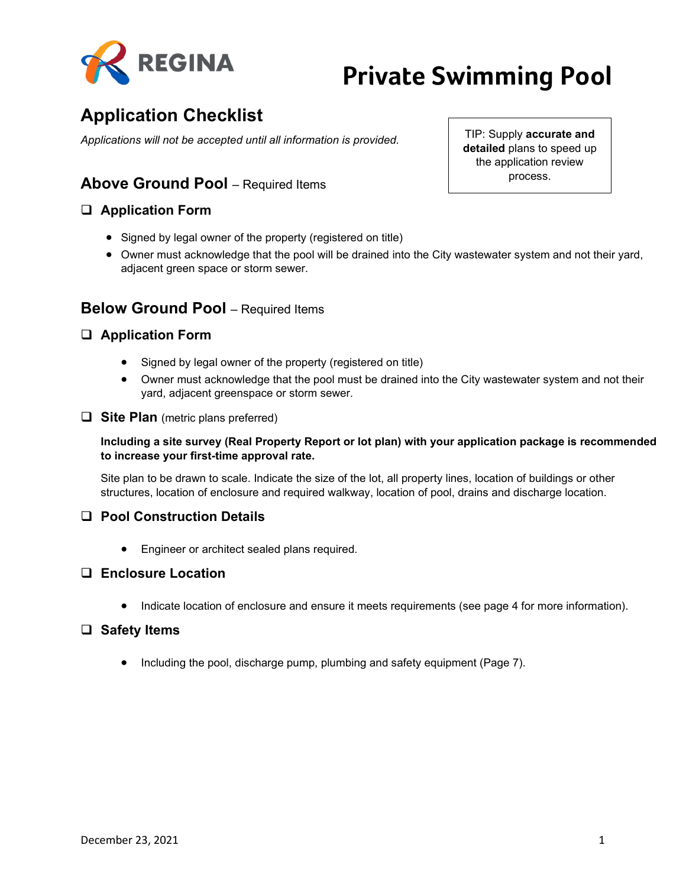

## **Application Checklist**

*Applications will not be accepted until all information is provided.*

### **Above Ground Pool** – Required Items

### **Application Form**

- Signed by legal owner of the property (registered on title)
- Owner must acknowledge that the pool will be drained into the City wastewater system and not their yard, adjacent green space or storm sewer.

### **Below Ground Pool** – Required Items

### **Application Form**

- Signed by legal owner of the property (registered on title)
- Owner must acknowledge that the pool must be drained into the City wastewater system and not their yard, adjacent greenspace or storm sewer.
- **Site Plan** (metric plans preferred)

#### **Including a site survey (Real Property Report or lot plan) with your application package is recommended to increase your first-time approval rate.**

Site plan to be drawn to scale. Indicate the size of the lot, all property lines, location of buildings or other structures, location of enclosure and required walkway, location of pool, drains and discharge location.

### **Pool Construction Details**

• Engineer or architect sealed plans required.

#### **Enclosure Location**

• Indicate location of enclosure and ensure it meets requirements (see page 4 for more information).

#### **Safety Items**

• Including the pool, discharge pump, plumbing and safety equipment (Page 7).

TIP: Supply **accurate and detailed** plans to speed up the application review process.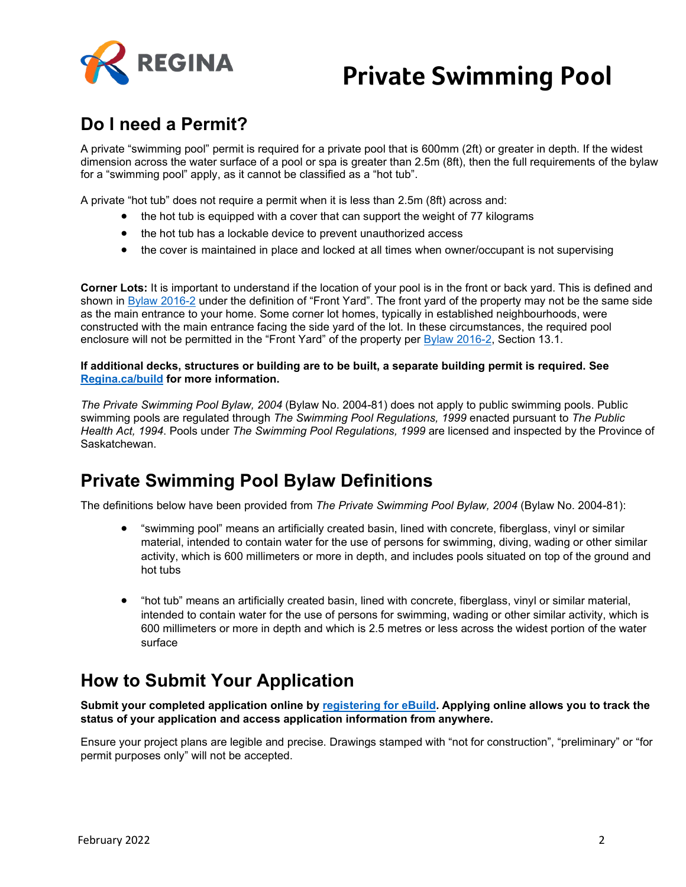

## **Do I need a Permit?**

A private "swimming pool" permit is required for a private pool that is 600mm (2ft) or greater in depth. If the widest dimension across the water surface of a pool or spa is greater than 2.5m (8ft), then the full requirements of the bylaw for a "swimming pool" apply, as it cannot be classified as a "hot tub".

A private "hot tub" does not require a permit when it is less than 2.5m (8ft) across and:

- the hot tub is equipped with a cover that can support the weight of 77 kilograms
- the hot tub has a lockable device to prevent unauthorized access
- the cover is maintained in place and locked at all times when owner/occupant is not supervising

**Corner Lots:** It is important to understand if the location of your pool is in the front or back yard. This is defined and shown in [Bylaw 2016-2](http://open.regina.ca/dataset/66c65c2e-f0a0-48cd-94d9-2962079edf72/resource/5a68ea15-a46a-4e24-8c88-9f80df4c6d8a/download/2016-2.pdf) under the definition of "Front Yard". The front yard of the property may not be the same side as the main entrance to your home. Some corner lot homes, typically in established neighbourhoods, were constructed with the main entrance facing the side yard of the lot. In these circumstances, the required pool enclosure will not be permitted in the "Front Yard" of the property per [Bylaw 2016-2,](http://open.regina.ca/dataset/66c65c2e-f0a0-48cd-94d9-2962079edf72/resource/5a68ea15-a46a-4e24-8c88-9f80df4c6d8a/download/2016-2.pdf) Section 13.1.

#### **If additional decks, structures or building are to be built, a separate building permit is required. See [Regina.ca/build](http://www.regina.ca/build) for more information.**

*The Private Swimming Pool Bylaw, 2004* (Bylaw No. 2004-81) does not apply to public swimming pools. Public swimming pools are regulated through *The Swimming Pool Regulations, 1999* enacted pursuant to *The Public Health Act, 1994*. Pools under *The Swimming Pool Regulations, 1999* are licensed and inspected by the Province of Saskatchewan.

## **Private Swimming Pool Bylaw Definitions**

The definitions below have been provided from *The Private Swimming Pool Bylaw, 2004* (Bylaw No. 2004-81):

- "swimming pool" means an artificially created basin, lined with concrete, fiberglass, vinyl or similar material, intended to contain water for the use of persons for swimming, diving, wading or other similar activity, which is 600 millimeters or more in depth, and includes pools situated on top of the ground and hot tubs
- "hot tub" means an artificially created basin, lined with concrete, fiberglass, vinyl or similar material, intended to contain water for the use of persons for swimming, wading or other similar activity, which is 600 millimeters or more in depth and which is 2.5 metres or less across the widest portion of the water surface

## **How to Submit Your Application**

**Submit your completed application online by [registering for eBuild.](https://myaccount.regina.ca/) Applying online allows you to track the status of your application and access application information from anywhere.**

Ensure your project plans are legible and precise. Drawings stamped with "not for construction", "preliminary" or "for permit purposes only" will not be accepted.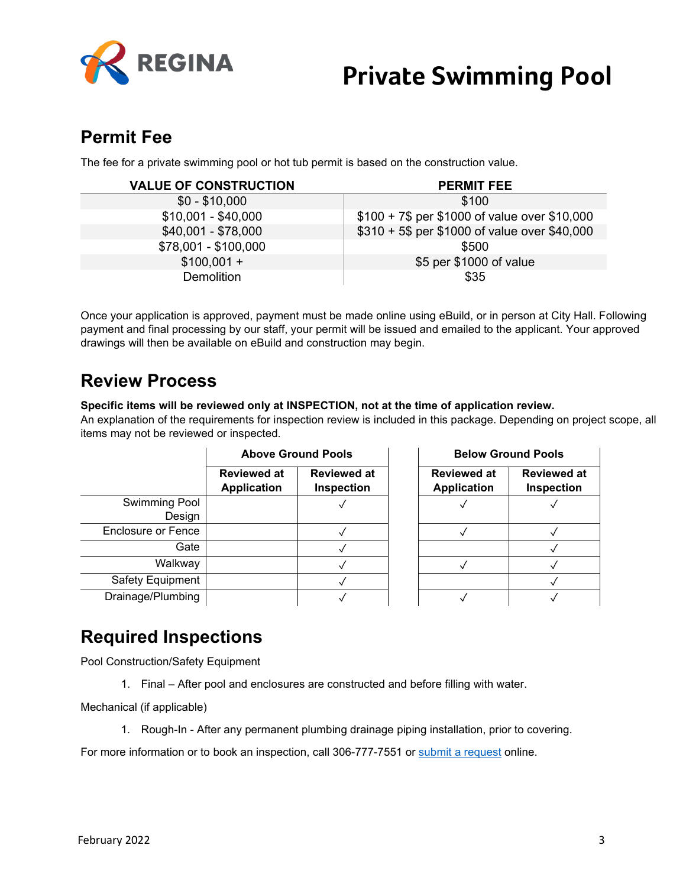

## **Permit Fee**

The fee for a private swimming pool or hot tub permit is based on the construction value.

| <b>VALUE OF CONSTRUCTION</b> | <b>PERMIT FEE</b>                             |
|------------------------------|-----------------------------------------------|
| $$0 - $10,000$               | \$100                                         |
| $$10,001 - $40,000$          | \$100 + 7\$ per \$1000 of value over \$10,000 |
| $$40,001 - $78,000$          | \$310 + 5\$ per \$1000 of value over \$40,000 |
| \$78,001 - \$100,000         | \$500                                         |
| $$100,001 +$                 | \$5 per \$1000 of value                       |
| <b>Demolition</b>            | \$35                                          |

Once your application is approved, payment must be made online using eBuild, or in person at City Hall. Following payment and final processing by our staff, your permit will be issued and emailed to the applicant. Your approved drawings will then be available on eBuild and construction may begin.

## **Review Process**

**Specific items will be reviewed only at INSPECTION, not at the time of application review.**

An explanation of the requirements for inspection review is included in this package. Depending on project scope, all items may not be reviewed or inspected.

|                    | <b>Above Ground Pools</b>                |                                  | <b>Below Ground Pool</b>                 |                                |
|--------------------|------------------------------------------|----------------------------------|------------------------------------------|--------------------------------|
|                    | <b>Reviewed at</b><br><b>Application</b> | <b>Reviewed at</b><br>Inspection | <b>Reviewed at</b><br><b>Application</b> | <b>Review</b><br><b>Inspec</b> |
| Swimming Pool      |                                          |                                  |                                          | $\sqrt{}$                      |
| Design             |                                          |                                  |                                          |                                |
| Enclosure or Fence |                                          |                                  |                                          |                                |
| Gate               |                                          |                                  |                                          |                                |
| Walkway            |                                          |                                  |                                          |                                |
| Safety Equipment   |                                          |                                  |                                          |                                |
| Drainage/Plumbing  |                                          |                                  |                                          |                                |

| <b>Above Ground Pools</b> |                                  | <b>Below Ground Pools</b>                |                                         |  |
|---------------------------|----------------------------------|------------------------------------------|-----------------------------------------|--|
| iewed at<br>lication      | <b>Reviewed at</b><br>Inspection | <b>Reviewed at</b><br><b>Application</b> | <b>Reviewed at</b><br><b>Inspection</b> |  |
|                           |                                  |                                          |                                         |  |
|                           |                                  |                                          |                                         |  |
|                           |                                  |                                          |                                         |  |
|                           |                                  |                                          |                                         |  |
|                           |                                  |                                          |                                         |  |
|                           |                                  |                                          |                                         |  |

## **Required Inspections**

Pool Construction/Safety Equipment

1. Final – After pool and enclosures are constructed and before filling with water.

Mechanical (if applicable)

1. Rough-In - After any permanent plumbing drainage piping installation, prior to covering.

For more information or to book an inspection, call 306-777-7551 or [submit a request](https://www.regina.ca/bylaws-permits-licences/building-demolition/inspections/) online.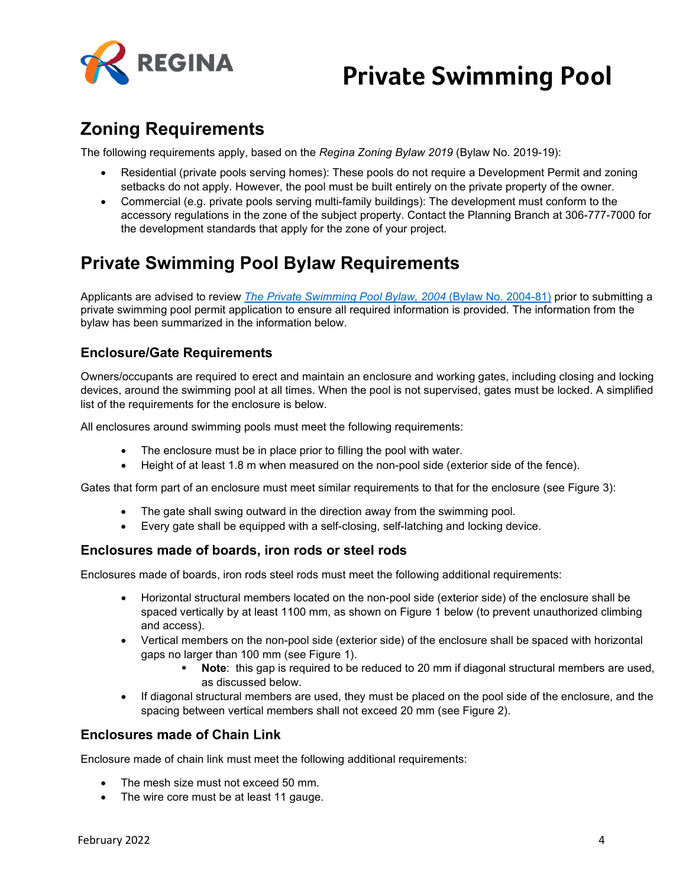

## **Zoning Requirements**

The following requirements apply, based on the *Regina Zoning Bylaw 2019* (Bylaw No. 2019-19):

- Residential (private pools serving homes): These pools do not require a Development Permit and zoning setbacks do not apply. However, the pool must be built entirely on the private property of the owner.
- Commercial (e.g. private pools serving multi-family buildings): The development must conform to the accessory regulations in the zone of the subject property. Contact the Planning Branch at 306-777-7000 for the development standards that apply for the zone of your project.

## **Private Swimming Pool Bylaw Requirements**

Applicants are advised to review *[The Private Swimming Pool Bylaw, 2004](http://open.regina.ca/dataset/ea267588-b5b3-4040-b00e-1dfc4f16771b/resource/5608d79c-b432-4700-915c-dbe9aa9c93fc/download/2004-81c16.pdf)* (Bylaw No. 2004-81) prior to submitting a private swimming pool permit application to ensure all required information is provided. The information from the bylaw has been summarized in the information below.

### **Enclosure/Gate Requirements**

Owners/occupants are required to erect and maintain an enclosure and working gates, including closing and locking devices, around the swimming pool at all times. When the pool is not supervised, gates must be locked. A simplified list of the requirements for the enclosure is below.

All enclosures around swimming pools must meet the following requirements:

- The enclosure must be in place prior to filling the pool with water.
- Height of at least 1.8 m when measured on the non-pool side (exterior side of the fence).

Gates that form part of an enclosure must meet similar requirements to that for the enclosure (see Figure 3):

- The gate shall swing outward in the direction away from the swimming pool.
- Every gate shall be equipped with a self-closing, self-latching and locking device.

### **Enclosures made of boards, iron rods or steel rods**

Enclosures made of boards, iron rods steel rods must meet the following additional requirements:

- Horizontal structural members located on the non-pool side (exterior side) of the enclosure shall be spaced vertically by at least 1100 mm, as shown on Figure 1 below (to prevent unauthorized climbing and access).
- Vertical members on the non-pool side (exterior side) of the enclosure shall be spaced with horizontal gaps no larger than 100 mm (see Figure 1).
	- **Note:** this gap is required to be reduced to 20 mm if diagonal structural members are used, as discussed below.
- If diagonal structural members are used, they must be placed on the pool side of the enclosure, and the spacing between vertical members shall not exceed 20 mm (see Figure 2).

### **Enclosures made of Chain Link**

Enclosure made of chain link must meet the following additional requirements:

- The mesh size must not exceed 50 mm.
- The wire core must be at least 11 gauge.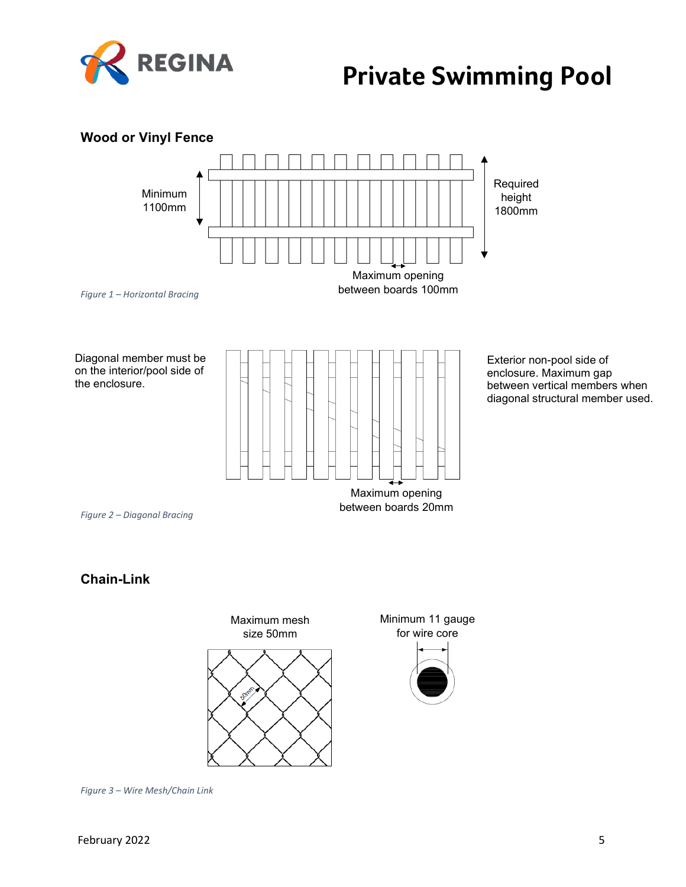



*Figure 3 – Wire Mesh/Chain Link*